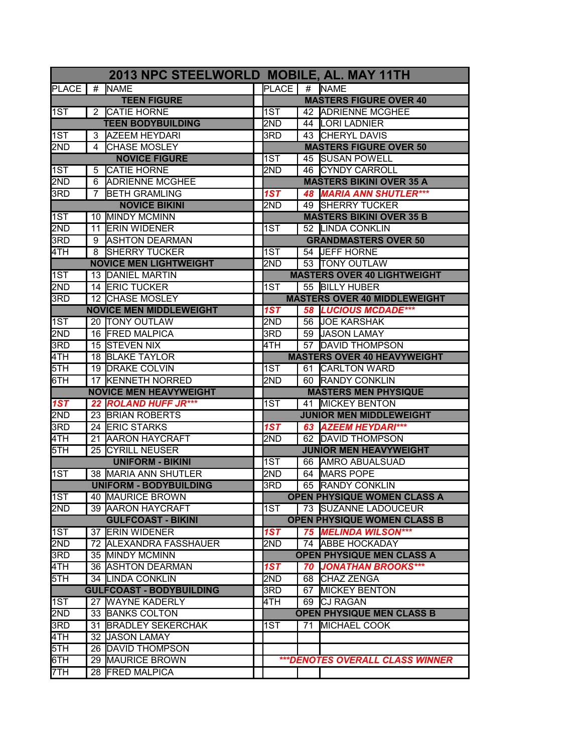| 2013 NPC STEELWORLD MOBILE, AL. MAY 11TH |   |                                 |  |                               |      |                                        |  |  |
|------------------------------------------|---|---------------------------------|--|-------------------------------|------|----------------------------------------|--|--|
| <b>PLACE</b>                             |   | # NAME                          |  | <b>PLACE</b>                  |      | # NAME                                 |  |  |
| <b>TEEN FIGURE</b>                       |   |                                 |  | <b>MASTERS FIGURE OVER 40</b> |      |                                        |  |  |
| l1ST                                     |   | 2 CATIE HORNE                   |  | 1ST                           |      | 42 ADRIENNE MCGHEE                     |  |  |
|                                          |   | <b>TEEN BODYBUILDING</b>        |  | 2ND                           |      | 44 LORI LADNIER                        |  |  |
| 1ST                                      | 3 | <b>AZEEM HEYDARI</b>            |  | 3RD                           |      | 43 CHERYL DAVIS                        |  |  |
| 2ND                                      | 4 | <b>CHASE MOSLEY</b>             |  |                               |      | <b>MASTERS FIGURE OVER 50</b>          |  |  |
|                                          |   | <b>NOVICE FIGURE</b>            |  | 1ST                           |      | 45 SUSAN POWELL                        |  |  |
| 1ST                                      | 5 | <b>CATIE HORNE</b>              |  | 2ND                           | 46 I | <b>CYNDY CARROLL</b>                   |  |  |
| 2ND                                      | 6 | <b>ADRIENNE MCGHEE</b>          |  |                               |      | <b>MASTERS BIKINI OVER 35 A</b>        |  |  |
| 3RD                                      | 7 | <b>BETH GRAMLING</b>            |  | 1ST                           |      | <b>48 MARIA ANN SHUTLER***</b>         |  |  |
|                                          |   | <b>NOVICE BIKINI</b>            |  | 2ND                           |      | 49 SHERRY TUCKER                       |  |  |
| 1ST                                      |   | 10 IMINDY MCMINN                |  |                               |      | <b>MASTERS BIKINI OVER 35 B</b>        |  |  |
| 2ND                                      |   | 11 ERIN WIDENER                 |  | 1ST                           |      | 52 LINDA CONKLIN                       |  |  |
| 3RD                                      |   | 9 ASHTON DEARMAN                |  |                               |      | <b>GRANDMASTERS OVER 50</b>            |  |  |
| 4TH                                      | 8 | <b>SHERRY TUCKER</b>            |  | 1ST                           |      | 54 JEFF HORNE                          |  |  |
|                                          |   | <b>NOVICE MEN LIGHTWEIGHT</b>   |  | 2ND                           |      | 53 TONY OUTLAW                         |  |  |
| 1ST                                      |   | 13 DANIEL MARTIN                |  |                               |      | <b>MASTERS OVER 40 LIGHTWEIGHT</b>     |  |  |
| 2ND                                      |   | <b>14 ERIC TUCKER</b>           |  | 1ST                           |      | 55 BILLY HUBER                         |  |  |
| 3RD                                      |   | 12 CHASE MOSLEY                 |  |                               |      | <b>MASTERS OVER 40 MIDDLEWEIGHT</b>    |  |  |
|                                          |   | <b>NOVICE MEN MIDDLEWEIGHT</b>  |  | 1ST                           |      | 58 LUCIOUS MCDADE***                   |  |  |
| 1ST                                      |   | 20 TONY OUTLAW                  |  | 2ND                           |      | 56 JOE KARSHAK                         |  |  |
| 2ND                                      |   | 16 FRED MALPICA                 |  | 3RD                           |      | 59 JASON LAMAY                         |  |  |
| 3RD                                      |   | 15 STEVEN NIX                   |  | 4TH                           |      | 57 DAVID THOMPSON                      |  |  |
| $\overline{4}\overline{1}H$              |   | 18 BLAKE TAYLOR                 |  |                               |      | <b>MASTERS OVER 40 HEAVYWEIGHT</b>     |  |  |
| 5TH                                      |   | 19 DRAKE COLVIN                 |  | 1ST                           |      | 61 CARLTON WARD                        |  |  |
| 6TH                                      |   | 17 KENNETH NORRED               |  | 2ND                           |      | 60 RANDY CONKLIN                       |  |  |
|                                          |   | <b>NOVICE MEN HEAVYWEIGHT</b>   |  |                               |      | <b>MASTERS MEN PHYSIQUE</b>            |  |  |
| 1ST                                      |   | 22 ROLAND HUFF JR***            |  | 1ST                           |      | 41 MICKEY BENTON                       |  |  |
| 2ND                                      |   | 23 BRIAN ROBERTS                |  |                               |      | <b>JUNIOR MEN MIDDLEWEIGHT</b>         |  |  |
| 3RD                                      |   | 24 ERIC STARKS                  |  | 1ST                           |      | 63 AZEEM HEYDARI***                    |  |  |
| 4TH                                      |   | 21 AARON HAYCRAFT               |  | 2ND                           |      | 62 DAVID THOMPSON                      |  |  |
| 5TH                                      |   | 25 CYRILL NEUSER                |  |                               |      | <b>JUNIOR MEN HEAVYWEIGHT</b>          |  |  |
|                                          |   | <b>UNIFORM - BIKINI</b>         |  | 1ST                           |      | 66 AMRO ABUALSUAD                      |  |  |
| 1ST                                      |   | 38 MARIA ANN SHUTLER            |  | 2ND                           |      | 64 MARS POPE                           |  |  |
|                                          |   | <b>UNIFORM - BODYBUILDING</b>   |  | 3RD                           |      | 65 RANDY CONKLIN                       |  |  |
| 1ST                                      |   | 40 MAURICE BROWN                |  |                               |      | OPEN PHYSIQUE WOMEN CLASS A            |  |  |
| 2ND                                      |   | 39 JAARON HAYCRAFT              |  | 1ST                           |      | 73 ISUZANNE LADOUCEUR                  |  |  |
|                                          |   | <b>GULFCOAST - BIKINI</b>       |  |                               |      | <b>OPEN PHYSIQUE WOMEN CLASS B</b>     |  |  |
| 1ST                                      |   | 37 ERIN WIDENER                 |  | 1ST                           |      | 75 MELINDA WILSON***                   |  |  |
| 2ND                                      |   | 72 ALEXANDRA FASSHAUER          |  | 2ND                           |      | 74 ABBE HOCKADAY                       |  |  |
| 3RD                                      |   | 35 MINDY MCMINN                 |  |                               |      | <b>OPEN PHYSIQUE MEN CLASS A</b>       |  |  |
| 4TH                                      |   | 36 ASHTON DEARMAN               |  | 1ST                           |      | 70 JONATHAN BROOKS***                  |  |  |
| 5TH                                      |   | 34 LINDA CONKLIN                |  | 2ND                           |      | 68 CHAZ ZENGA                          |  |  |
|                                          |   | <b>GULFCOAST - BODYBUILDING</b> |  | 3RD                           |      | 67 MICKEY BENTON                       |  |  |
| 1ST                                      |   | 27 WAYNE KADERLY                |  | 4TH                           |      | 69 CJ RAGAN                            |  |  |
| 2ND                                      |   | 33 BANKS COLTON                 |  |                               |      | <b>OPEN PHYSIQUE MEN CLASS B</b>       |  |  |
| 3RD                                      |   | 31 BRADLEY SEKERCHAK            |  | 1ST                           |      | 71 MICHAEL COOK                        |  |  |
| 4TH                                      |   | 32 JJASON LAMAY                 |  |                               |      |                                        |  |  |
| 5TH                                      |   | 26 DAVID THOMPSON               |  |                               |      |                                        |  |  |
| 6TH                                      |   | 29 MAURICE BROWN                |  |                               |      | <b>***DENOTES OVERALL CLASS WINNER</b> |  |  |
| 7TH                                      |   | 28 FRED MALPICA                 |  |                               |      |                                        |  |  |